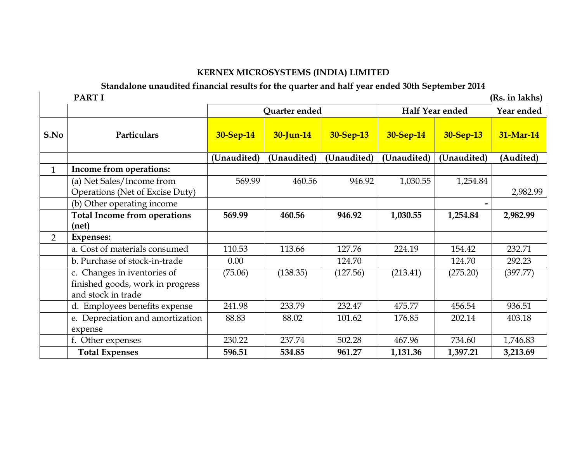#### KERNEX MICROSYSTEMS (INDIA) LIMITED

Standalone unaudited financial results for the quarter and half year ended 30th September 2014

PART I (Rs. in lakhs)Quarter ended Half Year ended Year endedS.No0 Particulars <mark>30-Sep-14 30-Jun-14 30-Sep-13 30-Sep-14 30-Sep-13 31-Mar-14 30-Sep-13 31-Mar-14 30-Sep-13 31-Mar-14</mark> (Unaudited) (Unaudited) (Unaudited) (Unaudited) (Unaudited) (Audited) 1 | Income from operations: (a) Net Sales/Income from Operations (Net of Excise Duty) 569.999 | 460.56 | 946.92 | 1,030.55 | 1,254.84 2,982.99 (b) Other operating income Total Income from operations (net) 569.99 460.56 946.92 1,030.55 1,254.84 2,982.99 2 Expenses: a. Cost of materials consumed 110.53 113.66 127.76 224.19 154.42 232.71 b. Purchase of stock-in-trade 0.00 124.70 124.70 292.23 c. Changes in iventories of finished goods, work in progress and stock in trade d. Employees benefits expense 241.98 233.79 232.47 475.77 456.54 936.51 (75.06) (138.35) (127.56) (213.41) (275.20) (397.77) e. Depreciation and amortization expense 88.83 88.02 101.62 176.85 202.14 403.18 f. Other expenses 230.22 237.74 502.28 467.96 734.60 1,746.83 Total Expenses 1 596.51 534.85 961.27 1,131.36 1,397.21 3,213.69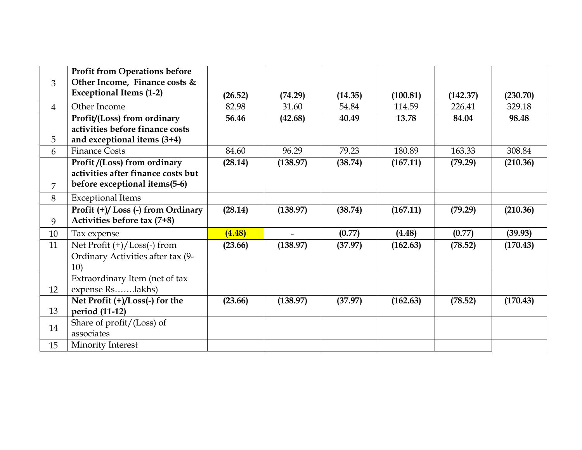| 3              | <b>Profit from Operations before</b><br>Other Income, Finance costs &<br><b>Exceptional Items (1-2)</b> | (26.52) | (74.29)  | (14.35) | (100.81) | (142.37) | (230.70) |
|----------------|---------------------------------------------------------------------------------------------------------|---------|----------|---------|----------|----------|----------|
| $\overline{4}$ | Other Income                                                                                            | 82.98   | 31.60    | 54.84   | 114.59   | 226.41   | 329.18   |
| 5              | Profit/(Loss) from ordinary<br>activities before finance costs<br>and exceptional items $(3+4)$         | 56.46   | (42.68)  | 40.49   | 13.78    | 84.04    | 98.48    |
| 6              | <b>Finance Costs</b>                                                                                    | 84.60   | 96.29    | 79.23   | 180.89   | 163.33   | 308.84   |
| 7              | Profit/(Loss) from ordinary<br>activities after finance costs but<br>before exceptional items(5-6)      | (28.14) | (138.97) | (38.74) | (167.11) | (79.29)  | (210.36) |
| 8              | <b>Exceptional Items</b>                                                                                |         |          |         |          |          |          |
| 9              | Profit (+)/Loss (-) from Ordinary<br>Activities before tax (7+8)                                        | (28.14) | (138.97) | (38.74) | (167.11) | (79.29)  | (210.36) |
| 10             | Tax expense                                                                                             | (4.48)  |          | (0.77)  | (4.48)   | (0.77)   | (39.93)  |
| 11             | Net Profit $(+)/$ Loss $(-)$ from<br>Ordinary Activities after tax (9-<br>10)                           | (23.66) | (138.97) | (37.97) | (162.63) | (78.52)  | (170.43) |
|                | Extraordinary Item (net of tax                                                                          |         |          |         |          |          |          |
| 12             | expense Rslakhs)                                                                                        |         |          |         |          |          |          |
| 13             | Net Profit (+)/Loss(-) for the<br>period (11-12)                                                        | (23.66) | (138.97) | (37.97) | (162.63) | (78.52)  | (170.43) |
| 14             | Share of profit/(Loss) of<br>associates                                                                 |         |          |         |          |          |          |
| 15             | Minority Interest                                                                                       |         |          |         |          |          |          |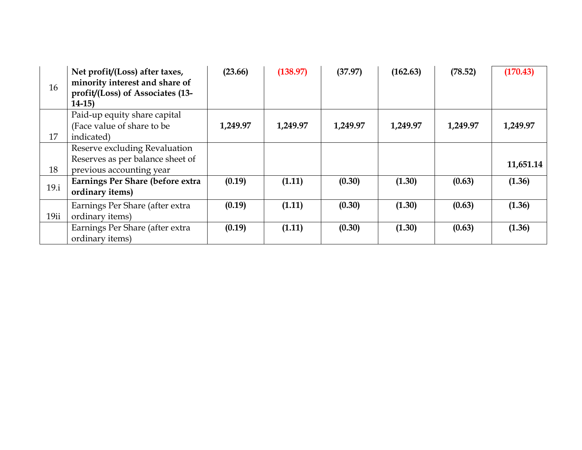| 16   | Net profit/(Loss) after taxes,<br>minority interest and share of<br>profit/(Loss) of Associates (13-<br>$14-15$ | (23.66)  | (138.97) | (37.97)  | (162.63) | (78.52)  | (170.43)  |
|------|-----------------------------------------------------------------------------------------------------------------|----------|----------|----------|----------|----------|-----------|
| 17   | Paid-up equity share capital<br>(Face value of share to be<br>indicated)                                        | 1,249.97 | 1,249.97 | 1,249.97 | 1,249.97 | 1,249.97 | 1,249.97  |
| 18   | Reserve excluding Revaluation<br>Reserves as per balance sheet of<br>previous accounting year                   |          |          |          |          |          | 11,651.14 |
| 19.i | Earnings Per Share (before extra<br>ordinary items)                                                             | (0.19)   | (1.11)   | (0.30)   | (1.30)   | (0.63)   | (1.36)    |
| 19ii | Earnings Per Share (after extra<br>ordinary items)                                                              | (0.19)   | (1.11)   | (0.30)   | (1.30)   | (0.63)   | (1.36)    |
|      | Earnings Per Share (after extra<br>ordinary items)                                                              | (0.19)   | (1.11)   | (0.30)   | (1.30)   | (0.63)   | (1.36)    |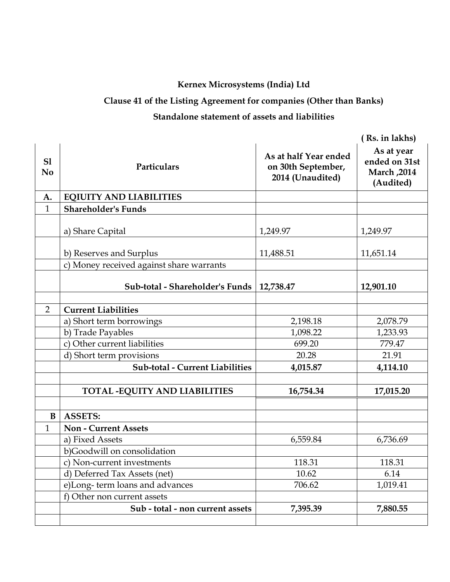## Kernex Microsystems (India) Ltd

# Clause 41 of the Listing Agreement for companies (Other than Banks)

## Standalone statement of assets and liabilities

|                      |                                          |                                                                 | ( Rs. in lakhs)                                         |
|----------------------|------------------------------------------|-----------------------------------------------------------------|---------------------------------------------------------|
| S1<br>N <sub>0</sub> | Particulars                              | As at half Year ended<br>on 30th September,<br>2014 (Unaudited) | As at year<br>ended on 31st<br>March, 2014<br>(Audited) |
| A.                   | <b>EQIUITY AND LIABILITIES</b>           |                                                                 |                                                         |
| $\mathbf{1}$         | <b>Shareholder's Funds</b>               |                                                                 |                                                         |
|                      | a) Share Capital                         | 1,249.97                                                        | 1,249.97                                                |
|                      | b) Reserves and Surplus                  | 11,488.51                                                       | 11,651.14                                               |
|                      | c) Money received against share warrants |                                                                 |                                                         |
|                      | Sub-total - Shareholder's Funds          | 12,738.47                                                       | 12,901.10                                               |
|                      |                                          |                                                                 |                                                         |
| $\overline{2}$       | <b>Current Liabilities</b>               |                                                                 |                                                         |
|                      | a) Short term borrowings                 | 2,198.18                                                        | 2,078.79                                                |
|                      | b) Trade Payables                        | 1,098.22                                                        | 1,233.93                                                |
|                      | c) Other current liabilities             | 699.20                                                          | 779.47                                                  |
|                      | d) Short term provisions                 | 20.28                                                           | 21.91                                                   |
|                      | <b>Sub-total - Current Liabilities</b>   | 4,015.87                                                        | 4,114.10                                                |
|                      | <b>TOTAL -EQUITY AND LIABILITIES</b>     | 16,754.34                                                       | 17,015.20                                               |
|                      |                                          |                                                                 |                                                         |
| B                    | <b>ASSETS:</b>                           |                                                                 |                                                         |
| $\mathbf{1}$         | <b>Non - Current Assets</b>              |                                                                 |                                                         |
|                      | a) Fixed Assets                          | 6,559.84                                                        | 6,736.69                                                |
|                      | b)Goodwill on consolidation              |                                                                 |                                                         |
|                      | c) Non-current investments               | 118.31                                                          | 118.31                                                  |
|                      | d) Deferred Tax Assets (net)             | 10.62                                                           | 6.14                                                    |
|                      | e)Long-term loans and advances           | 706.62                                                          | 1,019.41                                                |
|                      | f) Other non current assets              |                                                                 |                                                         |
|                      | Sub - total - non current assets         | 7,395.39                                                        | 7,880.55                                                |
|                      |                                          |                                                                 |                                                         |